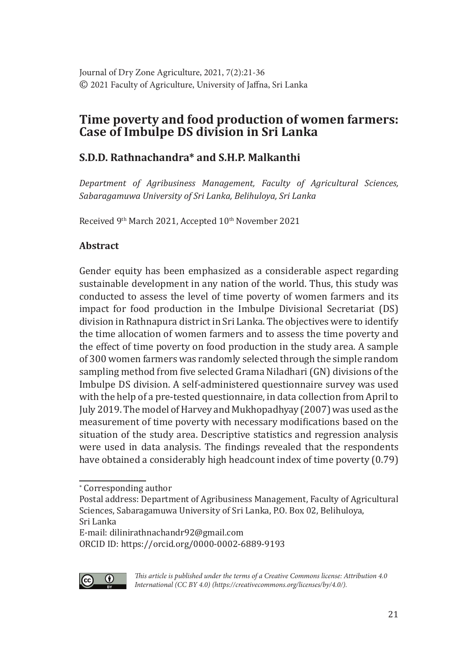# **Time poverty and food production of women farmers: Case of Imbulpe DS division in Sri Lanka**

# **S.D.D. Rathnachandra\* and S.H.P. Malkanthi**

*Department of Agribusiness Management, Faculty of Agricultural Sciences, Sabaragamuwa University of Sri Lanka, Belihuloya, Sri Lanka*

Received 9<sup>th</sup> March 2021, Accepted 10<sup>th</sup> November 2021

# **Abstract**

Gender equity has been emphasized as a considerable aspect regarding sustainable development in any nation of the world. Thus, this study was conducted to assess the level of time poverty of women farmers and its impact for food production in the Imbulpe Divisional Secretariat (DS) division in Rathnapura district in Sri Lanka. The objectives were to identify the time allocation of women farmers and to assess the time poverty and the effect of time poverty on food production in the study area. A sample of 300 women farmers was randomly selected through the simple random sampling method from five selected Grama Niladhari (GN) divisions of the Imbulpe DS division. A self-administered questionnaire survey was used with the help of a pre-tested questionnaire, in data collection from April to July 2019. The model of Harvey and Mukhopadhyay (2007) was used as the measurement of time poverty with necessary modifications based on the situation of the study area. Descriptive statistics and regression analysis were used in data analysis. The findings revealed that the respondents have obtained a considerably high headcount index of time poverty (0.79)

ORCID ID: https://orcid.org/0000-0002-6889-9193



*This article is published under the terms of a Creative Commons license: Attribution 4.0 International (CC BY 4.0) (https://creativecommons.org/licenses/by/4.0/).*

<sup>∗</sup> Corresponding author

Postal address: Department of Agribusiness Management, Faculty of Agricultural Sciences, Sabaragamuwa University of Sri Lanka, P.O. Box 02, Belihuloya, Sri Lanka

E-mail: dilinirathnachandr92@gmail.com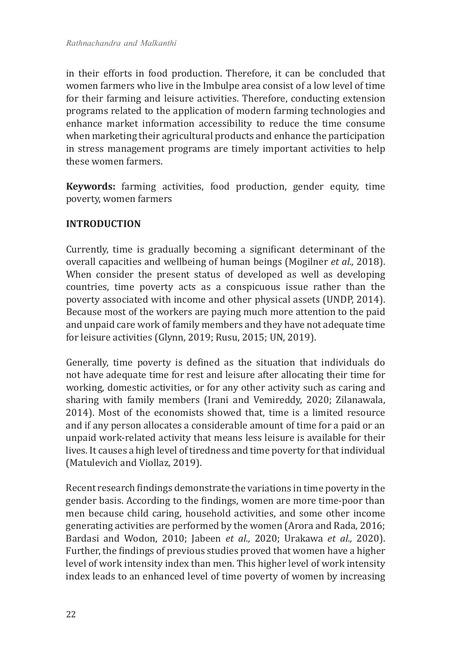in their efforts in food production. Therefore, it can be concluded that women farmers who live in the Imbulpe area consist of a low level of time for their farming and leisure activities. Therefore, conducting extension programs related to the application of modern farming technologies and enhance market information accessibility to reduce the time consume when marketing their agricultural products and enhance the participation in stress management programs are timely important activities to help these women farmers.

**Keywords:** farming activities, food production, gender equity, time poverty, women farmers

## **INTRODUCTION**

Currently, time is gradually becoming a significant determinant of the overall capacities and wellbeing of human beings (Mogilner *et al.,* 2018). When consider the present status of developed as well as developing countries, time poverty acts as a conspicuous issue rather than the poverty associated with income and other physical assets (UNDP, 2014). Because most of the workers are paying much more attention to the paid and unpaid care work of family members and they have not adequate time for leisure activities (Glynn, 2019; Rusu, 2015; UN, 2019).

Generally, time poverty is defined as the situation that individuals do not have adequate time for rest and leisure after allocating their time for working, domestic activities, or for any other activity such as caring and sharing with family members (Irani and Vemireddy, 2020; Zilanawala, 2014). Most of the economists showed that, time is a limited resource and if any person allocates a considerable amount of time for a paid or an unpaid work-related activity that means less leisure is available for their lives. It causes a high level of tiredness and time poverty for that individual (Matulevich and Viollaz, 2019).

Recent research findings demonstrate the variations in time poverty in the gender basis. According to the findings, women are more time-poor than men because child caring, household activities, and some other income generating activities are performed by the women (Arora and Rada, 2016; Bardasi and Wodon, 2010; Jabeen *et al.,* 2020; Urakawa *et al.,* 2020). Further, the findings of previous studies proved that women have a higher level of work intensity index than men. This higher level of work intensity index leads to an enhanced level of time poverty of women by increasing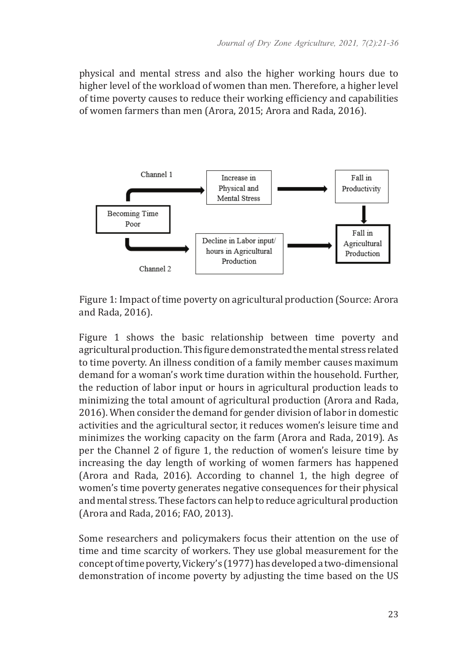physical and mental stress and also the higher working hours due to higher level of the workload of women than men. Therefore, a higher level of time poverty causes to reduce their working efficiency and capabilities of women farmers than men (Arora, 2015; Arora and Rada, 2016).



Figure 1: Impact of time poverty on agricultural production (Source: Arora and Rada, 2016).

Figure 1 shows the basic relationship between time poverty and agricultural production. This figure demonstrated the mental stress related to time poverty. An illness condition of a family member causes maximum demand for a woman's work time duration within the household. Further, the reduction of labor input or hours in agricultural production leads to minimizing the total amount of agricultural production (Arora and Rada, 2016). When consider the demand for gender division of labor in domestic activities and the agricultural sector, it reduces women's leisure time and minimizes the working capacity on the farm (Arora and Rada, 2019). As per the Channel 2 of figure 1, the reduction of women's leisure time by increasing the day length of working of women farmers has happened (Arora and Rada, 2016). According to channel 1, the high degree of women's time poverty generates negative consequences for their physical and mental stress. These factors can help to reduce agricultural production (Arora and Rada, 2016; FAO, 2013).

Some researchers and policymakers focus their attention on the use of time and time scarcity of workers. They use global measurement for the concept of time poverty, Vickery's (1977) has developed a two-dimensional demonstration of income poverty by adjusting the time based on the US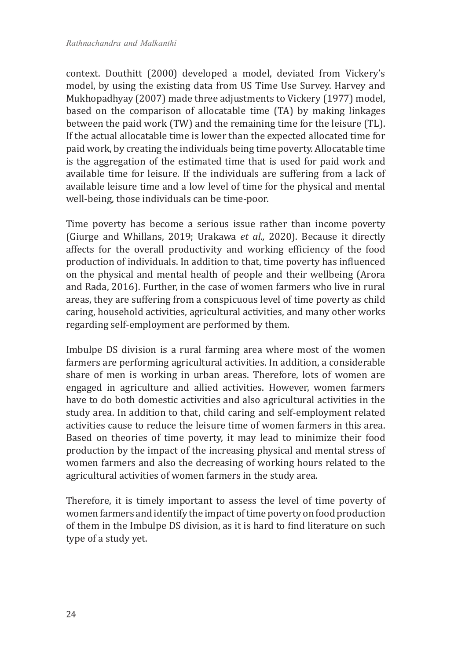context. Douthitt (2000) developed a model, deviated from Vickery's model, by using the existing data from US Time Use Survey. Harvey and Mukhopadhyay (2007) made three adjustments to Vickery (1977) model, based on the comparison of allocatable time (TA) by making linkages between the paid work (TW) and the remaining time for the leisure (TL). If the actual allocatable time is lower than the expected allocated time for paid work, by creating the individuals being time poverty. Allocatable time is the aggregation of the estimated time that is used for paid work and available time for leisure. If the individuals are suffering from a lack of available leisure time and a low level of time for the physical and mental well-being, those individuals can be time-poor.

Time poverty has become a serious issue rather than income poverty (Giurge and Whillans, 2019; Urakawa *et al.,* 2020). Because it directly affects for the overall productivity and working efficiency of the food production of individuals. In addition to that, time poverty has influenced on the physical and mental health of people and their wellbeing (Arora and Rada, 2016). Further, in the case of women farmers who live in rural areas, they are suffering from a conspicuous level of time poverty as child caring, household activities, agricultural activities, and many other works regarding self-employment are performed by them.

Imbulpe DS division is a rural farming area where most of the women farmers are performing agricultural activities. In addition, a considerable share of men is working in urban areas. Therefore, lots of women are engaged in agriculture and allied activities. However, women farmers have to do both domestic activities and also agricultural activities in the study area. In addition to that, child caring and self-employment related activities cause to reduce the leisure time of women farmers in this area. Based on theories of time poverty, it may lead to minimize their food production by the impact of the increasing physical and mental stress of women farmers and also the decreasing of working hours related to the agricultural activities of women farmers in the study area.

Therefore, it is timely important to assess the level of time poverty of women farmers and identify the impact of time poverty on food production of them in the Imbulpe DS division, as it is hard to find literature on such type of a study yet.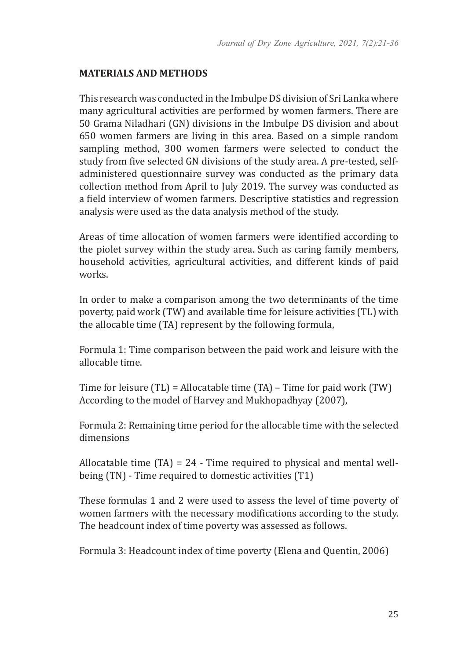### **MATERIALS AND METHODS**

This research was conducted in the Imbulpe DS division of Sri Lanka where many agricultural activities are performed by women farmers. There are 50 Grama Niladhari (GN) divisions in the Imbulpe DS division and about 650 women farmers are living in this area. Based on a simple random sampling method, 300 women farmers were selected to conduct the study from five selected GN divisions of the study area. A pre-tested, selfadministered questionnaire survey was conducted as the primary data collection method from April to July 2019. The survey was conducted as a field interview of women farmers. Descriptive statistics and regression analysis were used as the data analysis method of the study.

Areas of time allocation of women farmers were identified according to the piolet survey within the study area. Such as caring family members, household activities, agricultural activities, and different kinds of paid works.

In order to make a comparison among the two determinants of the time poverty, paid work (TW) and available time for leisure activities (TL) with the allocable time (TA) represent by the following formula,

Formula 1: Time comparison between the paid work and leisure with the allocable time.

Time for leisure (TL) = Allocatable time (TA) – Time for paid work (TW) According to the model of Harvey and Mukhopadhyay (2007),

Formula 2: Remaining time period for the allocable time with the selected dimensions

Allocatable time (TA) = 24 - Time required to physical and mental wellbeing (TN) - Time required to domestic activities (T1)

These formulas 1 and 2 were used to assess the level of time poverty of women farmers with the necessary modifications according to the study. The headcount index of time poverty was assessed as follows.

Formula 3: Headcount index of time poverty (Elena and Quentin, 2006)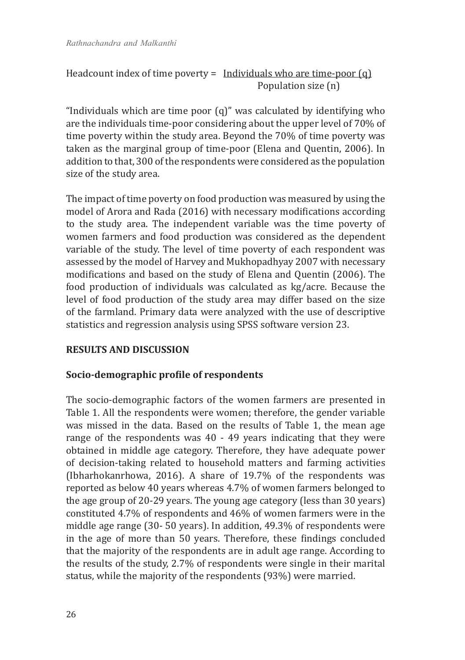Headcount index of time poverty = Individuals who are time-poor  $(q)$ Population size (n)

"Individuals which are time poor (q)" was calculated by identifying who are the individuals time-poor considering about the upper level of 70% of time poverty within the study area. Beyond the 70% of time poverty was taken as the marginal group of time-poor (Elena and Quentin, 2006). In addition to that, 300 of the respondents were considered as the population size of the study area.

The impact of time poverty on food production was measured by using the model of Arora and Rada (2016) with necessary modifications according to the study area. The independent variable was the time poverty of women farmers and food production was considered as the dependent variable of the study. The level of time poverty of each respondent was assessed by the model of Harvey and Mukhopadhyay 2007 with necessary modifications and based on the study of Elena and Quentin (2006). The food production of individuals was calculated as kg/acre. Because the level of food production of the study area may differ based on the size of the farmland. Primary data were analyzed with the use of descriptive statistics and regression analysis using SPSS software version 23.

## **RESULTS AND DISCUSSION**

#### **Socio-demographic profile of respondents**

The socio-demographic factors of the women farmers are presented in Table 1. All the respondents were women; therefore, the gender variable was missed in the data. Based on the results of Table 1, the mean age range of the respondents was 40 - 49 years indicating that they were obtained in middle age category. Therefore, they have adequate power of decision-taking related to household matters and farming activities (Ibharhokanrhowa, 2016). A share of 19.7% of the respondents was reported as below 40 years whereas 4.7% of women farmers belonged to the age group of 20-29 years. The young age category (less than 30 years) constituted 4.7% of respondents and 46% of women farmers were in the middle age range (30- 50 years). In addition, 49.3% of respondents were in the age of more than 50 years. Therefore, these findings concluded that the majority of the respondents are in adult age range. According to the results of the study, 2.7% of respondents were single in their marital status, while the majority of the respondents (93%) were married.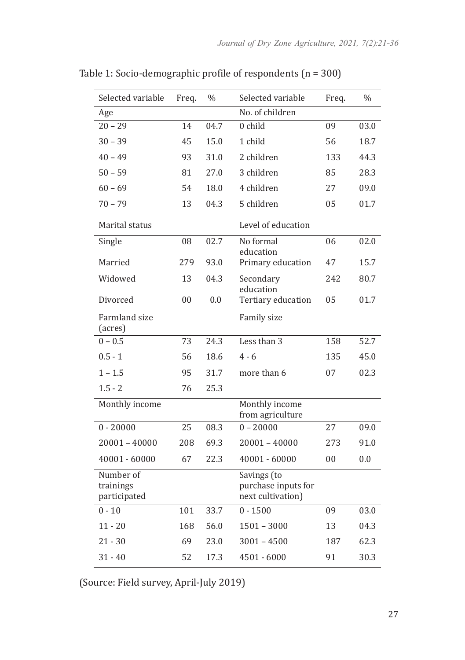| Selected variable                      | Freq. | $\%$ | Selected variable                                       | Freq.  | $\%$ |
|----------------------------------------|-------|------|---------------------------------------------------------|--------|------|
| Age                                    |       |      | No. of children                                         |        |      |
| $20 - 29$                              | 14    | 04.7 | 0 child                                                 | 09     | 03.0 |
| $30 - 39$                              | 45    | 15.0 | 1 child                                                 | 56     | 18.7 |
| $40 - 49$                              | 93    | 31.0 | 2 children                                              | 133    | 44.3 |
| $50 - 59$                              | 81    | 27.0 | 3 children                                              | 85     | 28.3 |
| $60 - 69$                              | 54    | 18.0 | 4 children                                              | 27     | 09.0 |
| $70 - 79$                              | 13    | 04.3 | 5 children                                              | 05     | 01.7 |
| Marital status                         |       |      | Level of education                                      |        |      |
| Single                                 | 08    | 02.7 | No formal<br>education                                  | 06     | 02.0 |
| Married                                | 279   | 93.0 | Primary education                                       | 47     | 15.7 |
| Widowed                                | 13    | 04.3 | Secondary                                               | 242    | 80.7 |
| Divorced                               | 00    | 0.0  | education<br>Tertiary education                         | 05     |      |
|                                        |       |      |                                                         |        | 01.7 |
| <b>Farmland</b> size<br>(acres)        |       |      | Family size                                             |        |      |
| $0 - 0.5$                              | 73    | 24.3 | Less than 3                                             | 158    | 52.7 |
| $0.5 - 1$                              | 56    | 18.6 | $4 - 6$                                                 | 135    | 45.0 |
| $1 - 1.5$                              | 95    | 31.7 | more than 6                                             | 07     | 02.3 |
| $1.5 - 2$                              | 76    | 25.3 |                                                         |        |      |
| Monthly income                         |       |      | Monthly income<br>from agriculture                      |        |      |
| $0 - 20000$                            | 25    | 08.3 | $0 - 20000$                                             | 27     | 09.0 |
| 20001 - 40000                          | 208   | 69.3 | $20001 - 40000$                                         | 273    | 91.0 |
| $40001 - 60000$                        | 67    | 22.3 | $40001 - 60000$                                         | $00\,$ | 0.0  |
| Number of<br>trainings<br>participated |       |      | Savings (to<br>purchase inputs for<br>next cultivation) |        |      |
| $0 - 10$                               | 101   | 33.7 | $0 - 1500$                                              | 09     | 03.0 |
| $11 - 20$                              | 168   | 56.0 | $1501 - 3000$                                           | 13     | 04.3 |
| 21 - 30                                | 69    | 23.0 | $3001 - 4500$                                           | 187    | 62.3 |
| $31 - 40$                              | 52    | 17.3 | 4501 - 6000                                             | 91     | 30.3 |

Table 1: Socio-demographic profile of respondents (n = 300)

(Source: Field survey, April-July 2019)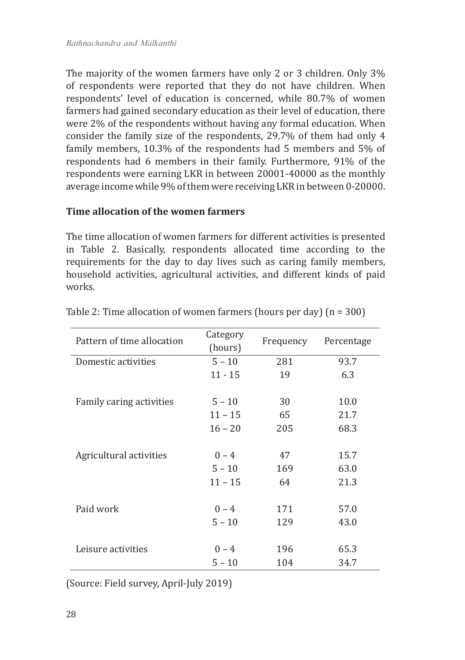The majority of the women farmers have only 2 or 3 children. Only 3% of respondents were reported that they do not have children. When respondents' level of education is concerned, while 80.7% of women farmers had gained secondary education as their level of education, there were 2% of the respondents without having any formal education. When consider the family size of the respondents, 29.7% of them had only 4 family members, 10.3% of the respondents had 5 members and 5% of respondents had 6 members in their family. Furthermore, 91% of the respondents were earning LKR in between 20001-40000 as the monthly average income while 9% of them were receiving LKR in between 0-20000.

#### **Time allocation of the women farmers**

The time allocation of women farmers for different activities is presented in Table 2. Basically, respondents allocated time according to the requirements for the day to day lives such as caring family members, household activities, agricultural activities, and different kinds of paid works.

| Pattern of time allocation | Category<br>(hours) | Frequency | Percentage |  |
|----------------------------|---------------------|-----------|------------|--|
| Domestic activities        | $5 - 10$            | 281       | 93.7       |  |
|                            | $11 - 15$           | 19        | 6.3        |  |
|                            |                     |           |            |  |
| Family caring activities   | $5 - 10$            | 30        | 10.0       |  |
|                            | $11 - 15$           | 65        | 21.7       |  |
|                            | $16 - 20$           | 205       | 68.3       |  |
|                            |                     |           |            |  |
| Agricultural activities    | $0 - 4$             | 47        | 15.7       |  |
|                            | $5 - 10$            | 169       | 63.0       |  |
|                            | $11 - 15$           | 64        | 21.3       |  |
|                            |                     |           |            |  |
| Paid work                  | $0 - 4$             | 171       | 57.0       |  |
|                            | $5 - 10$            | 129       | 43.0       |  |
|                            |                     |           |            |  |
| Leisure activities         | $0 - 4$             | 196       | 65.3       |  |
|                            | $5 - 10$            | 104       | 34.7       |  |

Table 2: Time allocation of women farmers (hours per day) (n = 300)

(Source: Field survey, April-July 2019)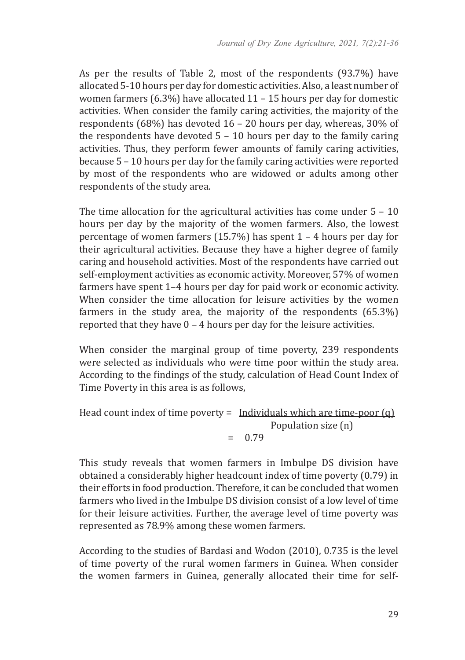As per the results of Table 2, most of the respondents (93.7%) have allocated 5-10 hours per day for domestic activities. Also, a least number of women farmers (6.3%) have allocated 11 – 15 hours per day for domestic activities. When consider the family caring activities, the majority of the respondents (68%) has devoted 16 – 20 hours per day, whereas, 30% of the respondents have devoted  $5 - 10$  hours per day to the family caring activities. Thus, they perform fewer amounts of family caring activities, because 5 – 10 hours per day for the family caring activities were reported by most of the respondents who are widowed or adults among other respondents of the study area.

The time allocation for the agricultural activities has come under 5 – 10 hours per day by the majority of the women farmers. Also, the lowest percentage of women farmers (15.7%) has spent 1 – 4 hours per day for their agricultural activities. Because they have a higher degree of family caring and household activities. Most of the respondents have carried out self-employment activities as economic activity. Moreover, 57% of women farmers have spent 1–4 hours per day for paid work or economic activity. When consider the time allocation for leisure activities by the women farmers in the study area, the majority of the respondents (65.3%) reported that they have 0 – 4 hours per day for the leisure activities.

When consider the marginal group of time poverty, 239 respondents were selected as individuals who were time poor within the study area. According to the findings of the study, calculation of Head Count Index of Time Poverty in this area is as follows,

```
Head count index of time poverty = Individuals which are time-poor (q)
                               Population size (n)
                    = 0.79
```
This study reveals that women farmers in Imbulpe DS division have obtained a considerably higher headcount index of time poverty (0.79) in their efforts in food production. Therefore, it can be concluded that women farmers who lived in the Imbulpe DS division consist of a low level of time for their leisure activities. Further, the average level of time poverty was represented as 78.9% among these women farmers.

According to the studies of Bardasi and Wodon (2010), 0.735 is the level of time poverty of the rural women farmers in Guinea. When consider the women farmers in Guinea, generally allocated their time for self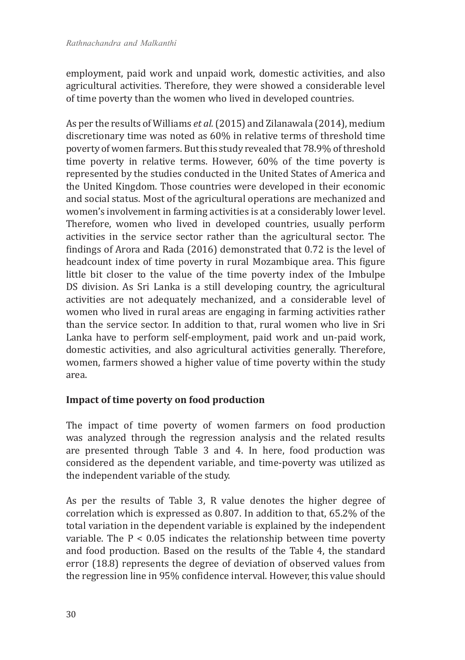employment, paid work and unpaid work, domestic activities, and also agricultural activities. Therefore, they were showed a considerable level of time poverty than the women who lived in developed countries.

As per the results of Williams *et al.* (2015) and Zilanawala (2014), medium discretionary time was noted as 60% in relative terms of threshold time poverty of women farmers. But this study revealed that 78.9% of threshold time poverty in relative terms. However, 60% of the time poverty is represented by the studies conducted in the United States of America and the United Kingdom. Those countries were developed in their economic and social status. Most of the agricultural operations are mechanized and women's involvement in farming activities is at a considerably lower level. Therefore, women who lived in developed countries, usually perform activities in the service sector rather than the agricultural sector. The findings of Arora and Rada (2016) demonstrated that 0.72 is the level of headcount index of time poverty in rural Mozambique area. This figure little bit closer to the value of the time poverty index of the Imbulpe DS division. As Sri Lanka is a still developing country, the agricultural activities are not adequately mechanized, and a considerable level of women who lived in rural areas are engaging in farming activities rather than the service sector. In addition to that, rural women who live in Sri Lanka have to perform self-employment, paid work and un-paid work, domestic activities, and also agricultural activities generally. Therefore, women, farmers showed a higher value of time poverty within the study area.

## **Impact of time poverty on food production**

The impact of time poverty of women farmers on food production was analyzed through the regression analysis and the related results are presented through Table 3 and 4. In here, food production was considered as the dependent variable, and time-poverty was utilized as the independent variable of the study.

As per the results of Table 3, R value denotes the higher degree of correlation which is expressed as 0.807. In addition to that, 65.2% of the total variation in the dependent variable is explained by the independent variable. The P < 0.05 indicates the relationship between time poverty and food production. Based on the results of the Table 4, the standard error (18.8) represents the degree of deviation of observed values from the regression line in 95% confidence interval. However, this value should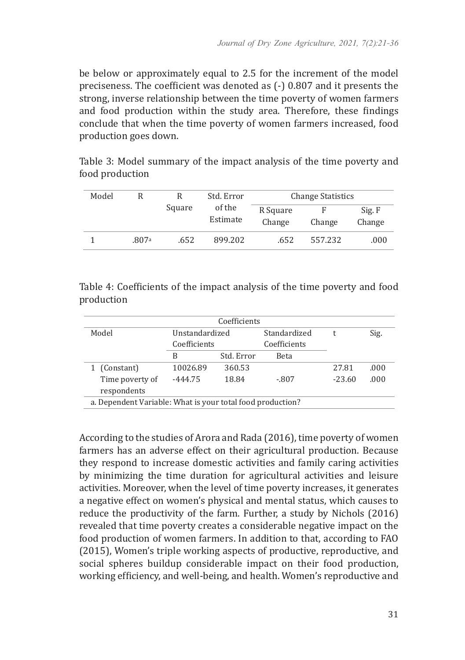be below or approximately equal to 2.5 for the increment of the model preciseness. The coefficient was denoted as (-) 0.807 and it presents the strong, inverse relationship between the time poverty of women farmers and food production within the study area. Therefore, these findings conclude that when the time poverty of women farmers increased, food production goes down.

Table 3: Model summary of the impact analysis of the time poverty and food production

| Model |                              |                    | Std. Error | <b>Change Statistics</b> |         |      |
|-------|------------------------------|--------------------|------------|--------------------------|---------|------|
|       | of the<br>Square<br>Estimate | R Square<br>Change | Change     | Sig. F<br>Change         |         |      |
|       | .807a                        | .652               | 899.202    | .652                     | 557.232 | .000 |

Table 4: Coefficients of the impact analysis of the time poverty and food production

| Coefficients                                               |                |            |              |          |      |  |  |
|------------------------------------------------------------|----------------|------------|--------------|----------|------|--|--|
| Model                                                      | Unstandardized |            | Standardized |          | Sig. |  |  |
|                                                            | Coefficients   |            | Coefficients |          |      |  |  |
|                                                            | B              | Std. Error | <b>Beta</b>  |          |      |  |  |
| (Constant)                                                 | 10026.89       | 360.53     |              | 27.81    | .000 |  |  |
| Time poverty of                                            | $-444.75$      | 18.84      | $-.807$      | $-23.60$ | .000 |  |  |
| respondents                                                |                |            |              |          |      |  |  |
| a. Dependent Variable: What is your total food production? |                |            |              |          |      |  |  |

According to the studies of Arora and Rada (2016), time poverty of women farmers has an adverse effect on their agricultural production. Because they respond to increase domestic activities and family caring activities by minimizing the time duration for agricultural activities and leisure activities. Moreover, when the level of time poverty increases, it generates a negative effect on women's physical and mental status, which causes to reduce the productivity of the farm. Further, a study by Nichols (2016) revealed that time poverty creates a considerable negative impact on the food production of women farmers. In addition to that, according to FAO (2015), Women's triple working aspects of productive, reproductive, and social spheres buildup considerable impact on their food production, working efficiency, and well-being, and health. Women's reproductive and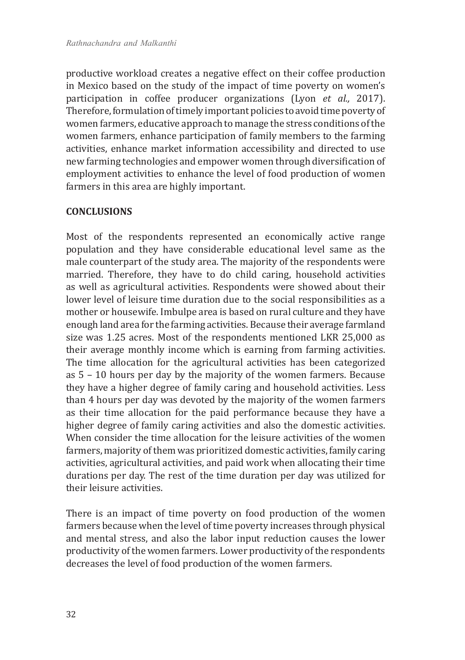productive workload creates a negative effect on their coffee production in Mexico based on the study of the impact of time poverty on women's participation in coffee producer organizations (Lyon *et al.,* 2017). Therefore, formulation of timely important policies to avoid time poverty of women farmers, educative approach to manage the stress conditions of the women farmers, enhance participation of family members to the farming activities, enhance market information accessibility and directed to use new farming technologies and empower women through diversification of employment activities to enhance the level of food production of women farmers in this area are highly important.

#### **CONCLUSIONS**

Most of the respondents represented an economically active range population and they have considerable educational level same as the male counterpart of the study area. The majority of the respondents were married. Therefore, they have to do child caring, household activities as well as agricultural activities. Respondents were showed about their lower level of leisure time duration due to the social responsibilities as a mother or housewife. Imbulpe area is based on rural culture and they have enough land area for the farming activities. Because their average farmland size was 1.25 acres. Most of the respondents mentioned LKR 25,000 as their average monthly income which is earning from farming activities. The time allocation for the agricultural activities has been categorized as 5 – 10 hours per day by the majority of the women farmers. Because they have a higher degree of family caring and household activities. Less than 4 hours per day was devoted by the majority of the women farmers as their time allocation for the paid performance because they have a higher degree of family caring activities and also the domestic activities. When consider the time allocation for the leisure activities of the women farmers, majority of them was prioritized domestic activities, family caring activities, agricultural activities, and paid work when allocating their time durations per day. The rest of the time duration per day was utilized for their leisure activities.

There is an impact of time poverty on food production of the women farmers because when the level of time poverty increases through physical and mental stress, and also the labor input reduction causes the lower productivity of the women farmers. Lower productivity of the respondents decreases the level of food production of the women farmers.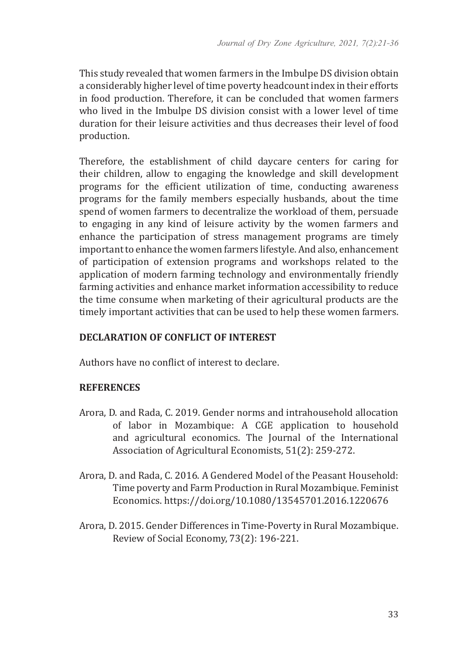This study revealed that women farmers in the Imbulpe DS division obtain a considerably higher level of time poverty headcount index in their efforts in food production. Therefore, it can be concluded that women farmers who lived in the Imbulpe DS division consist with a lower level of time duration for their leisure activities and thus decreases their level of food production.

Therefore, the establishment of child daycare centers for caring for their children, allow to engaging the knowledge and skill development programs for the efficient utilization of time, conducting awareness programs for the family members especially husbands, about the time spend of women farmers to decentralize the workload of them, persuade to engaging in any kind of leisure activity by the women farmers and enhance the participation of stress management programs are timely important to enhance the women farmers lifestyle. And also, enhancement of participation of extension programs and workshops related to the application of modern farming technology and environmentally friendly farming activities and enhance market information accessibility to reduce the time consume when marketing of their agricultural products are the timely important activities that can be used to help these women farmers.

# **DECLARATION OF CONFLICT OF INTEREST**

Authors have no conflict of interest to declare.

## **REFERENCES**

- Arora, D. and Rada, C. 2019. Gender norms and intrahousehold allocation of labor in Mozambique: A CGE application to household and agricultural economics. The Journal of the International Association of Agricultural Economists, 51(2): 259-272.
- Arora, D. and Rada, C. 2016. A Gendered Model of the Peasant Household: Time poverty and Farm Production in Rural Mozambique. Feminist Economics. https://doi.org/10.1080/13545701.2016.1220676
- Arora, D. 2015. Gender Differences in Time-Poverty in Rural Mozambique. Review of Social Economy, 73(2): 196-221.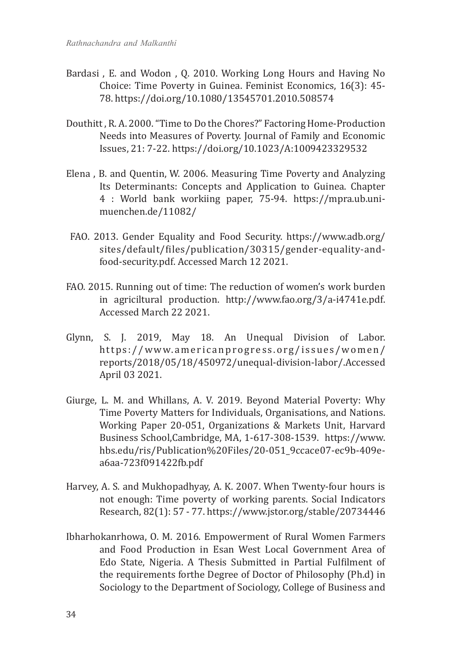- Bardasi , E. and Wodon , Q. 2010. Working Long Hours and Having No Choice: Time Poverty in Guinea. Feminist Economics, 16(3): 45- 78. https://doi.org/10.1080/13545701.2010.508574
- Douthitt , R. A. 2000. "Time to Do the Chores?" Factoring Home-Production Needs into Measures of Poverty. Journal of Family and Economic Issues, 21: 7-22. https://doi.org/10.1023/A:1009423329532
- Elena , B. and Quentin, W. 2006. Measuring Time Poverty and Analyzing Its Determinants: Concepts and Application to Guinea. Chapter 4 : World bank workiing paper, 75-94. https://mpra.ub.unimuenchen.de/11082/
- FAO. 2013. Gender Equality and Food Security. https://www.adb.org/ sites/default/files/publication/30315/gender-equality-andfood-security.pdf. Accessed March 12 2021.
- FAO. 2015. Running out of time: The reduction of women's work burden in agriciltural production. http://www.fao.org/3/a-i4741e.pdf. Accessed March 22 2021.
- Glynn, S. J. 2019, May 18. An Unequal Division of Labor. https://www.americanprogress.org/issues/women/ reports/2018/05/18/450972/unequal-division-labor/.Accessed April 03 2021.
- Giurge, L. M. and Whillans, A. V. 2019. Beyond Material Poverty: Why Time Poverty Matters for Individuals, Organisations, and Nations. Working Paper 20-051, Organizations & Markets Unit, Harvard Business School,Cambridge, MA, 1-617-308-1539. https://www. hbs.edu/ris/Publication%20Files/20-051\_9ccace07-ec9b-409ea6aa-723f091422fb.pdf
- Harvey, A. S. and Mukhopadhyay, A. K. 2007. When Twenty-four hours is not enough: Time poverty of working parents. Social Indicators Research, 82(1): 57 - 77. https://www.jstor.org/stable/20734446
- Ibharhokanrhowa, O. M. 2016. Empowerment of Rural Women Farmers and Food Production in Esan West Local Government Area of Edo State, Nigeria. A Thesis Submitted in Partial Fulfilment of the requirements forthe Degree of Doctor of Philosophy (Ph.d) in Sociology to the Department of Sociology, College of Business and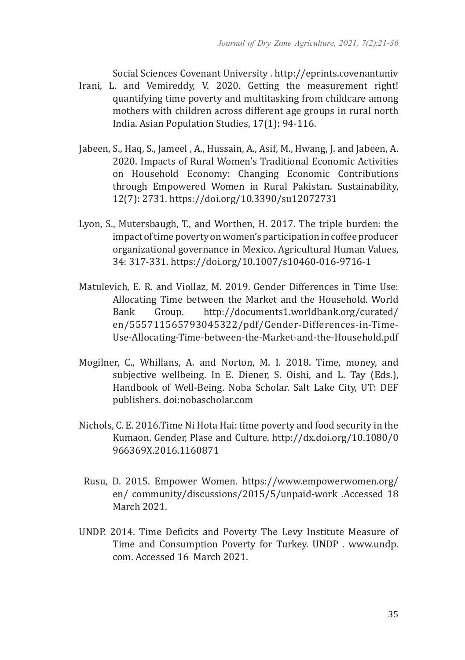Social Sciences Covenant University . http://eprints.covenantuniv

- Irani, L. and Vemireddy, V. 2020. Getting the measurement right! quantifying time poverty and multitasking from childcare among mothers with children across different age groups in rural north India. Asian Population Studies, 17(1): 94-116.
- Jabeen, S., Haq, S., Jameel , A., Hussain, A., Asif, M., Hwang, J. and Jabeen, A. 2020. Impacts of Rural Women's Traditional Economic Activities on Household Economy: Changing Economic Contributions through Empowered Women in Rural Pakistan. Sustainability, 12(7): 2731. https://doi.org/10.3390/su12072731
- Lyon, S., Mutersbaugh, T., and Worthen, H. 2017. The triple burden: the impact of time poverty on women's participation in coffee producer organizational governance in Mexico. Agricultural Human Values, 34: 317-331. https://doi.org/10.1007/s10460-016-9716-1
- Matulevich, E. R. and Viollaz, M. 2019. Gender Differences in Time Use: Allocating Time between the Market and the Household. World<br>Bank Group. http://documents1.worldbank.org/curated/ http://documents1.worldbank.org/curated/ en/555711565793045322/pdf/Gender-Differences-in-Time-Use-Allocating-Time-between-the-Market-and-the-Household.pdf
- Mogilner, C., Whillans, A. and Norton, M. I. 2018. Time, money, and subjective wellbeing. In E. Diener, S. Oishi, and L. Tay (Eds.), Handbook of Well-Being. Noba Scholar. Salt Lake City, UT: DEF publishers. doi:nobascholar.com
- Nichols, C. E. 2016.Time Ni Hota Hai: time poverty and food security in the Kumaon. Gender, Plase and Culture. http://dx.doi.org/10.1080/0 966369X.2016.1160871
- Rusu, D. 2015. Empower Women. https://www.empowerwomen.org/ en/ community/discussions/2015/5/unpaid-work .Accessed 18 March 2021.
- UNDP. 2014. Time Deficits and Poverty The Levy Institute Measure of Time and Consumption Poverty for Turkey. UNDP . www.undp. com. Accessed 16 March 2021.